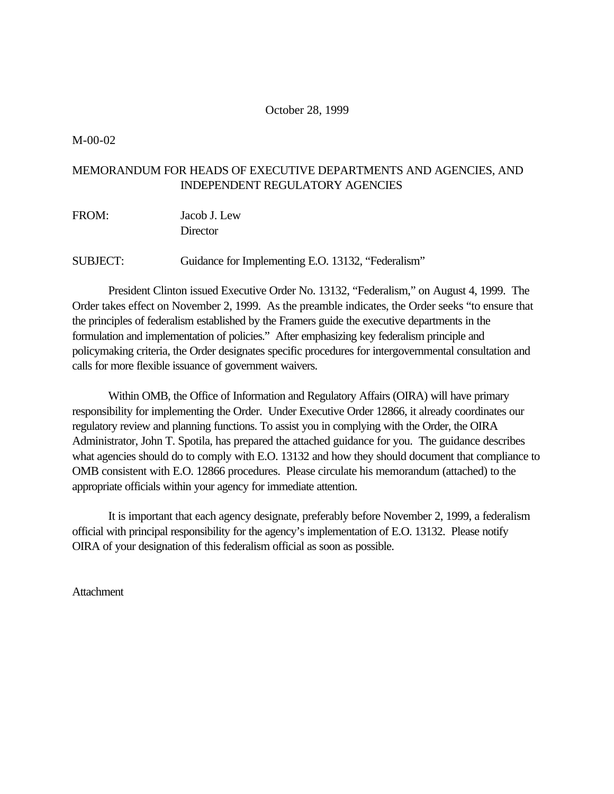### October 28, 1999

#### M-00-02

# MEMORANDUM FOR HEADS OF EXECUTIVE DEPARTMENTS AND AGENCIES, AND INDEPENDENT REGULATORY AGENCIES

| FROM: | Jacob J. Lew |
|-------|--------------|
|       | Director     |
|       |              |

SUBJECT: Guidance for Implementing E.O. 13132, "Federalism"

President Clinton issued Executive Order No. 13132, "Federalism," on August 4, 1999. The Order takes effect on November 2, 1999. As the preamble indicates, the Order seeks "to ensure that the principles of federalism established by the Framers guide the executive departments in the formulation and implementation of policies." After emphasizing key federalism principle and policymaking criteria, the Order designates specific procedures for intergovernmental consultation and calls for more flexible issuance of government waivers.

Within OMB, the Office of Information and Regulatory Affairs (OIRA) will have primary responsibility for implementing the Order. Under Executive Order 12866, it already coordinates our regulatory review and planning functions. To assist you in complying with the Order, the OIRA Administrator, John T. Spotila, has prepared the attached guidance for you. The guidance describes what agencies should do to comply with E.O. 13132 and how they should document that compliance to OMB consistent with E.O. 12866 procedures. Please circulate his memorandum (attached) to the appropriate officials within your agency for immediate attention.

It is important that each agency designate, preferably before November 2, 1999, a federalism official with principal responsibility for the agency's implementation of E.O. 13132. Please notify OIRA of your designation of this federalism official as soon as possible.

Attachment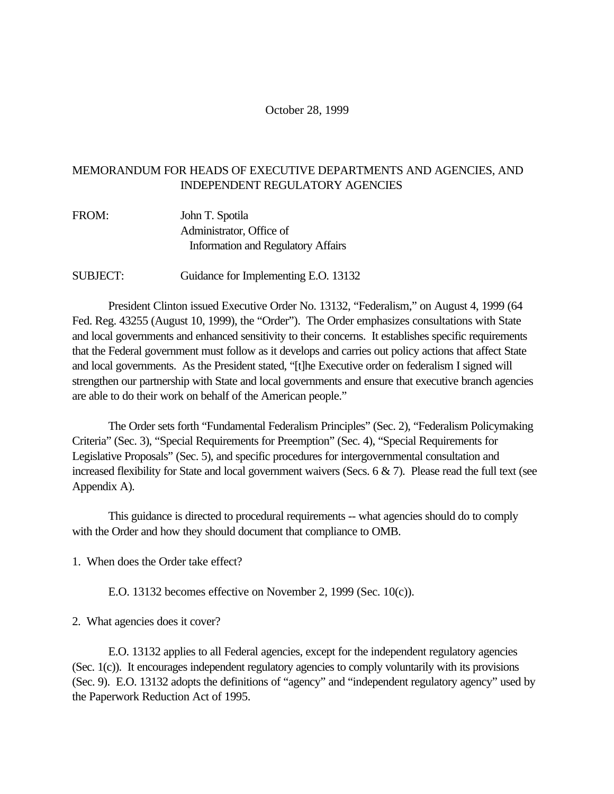### October 28, 1999

# MEMORANDUM FOR HEADS OF EXECUTIVE DEPARTMENTS AND AGENCIES, AND INDEPENDENT REGULATORY AGENCIES

| FROM: | John T. Spotila                           |
|-------|-------------------------------------------|
|       | Administrator, Office of                  |
|       | <b>Information and Regulatory Affairs</b> |

SUBJECT: Guidance for Implementing E.O. 13132

President Clinton issued Executive Order No. 13132, "Federalism," on August 4, 1999 (64 Fed. Reg. 43255 (August 10, 1999), the "Order"). The Order emphasizes consultations with State and local governments and enhanced sensitivity to their concerns. It establishes specific requirements that the Federal government must follow as it develops and carries out policy actions that affect State and local governments. As the President stated, "[t]he Executive order on federalism I signed will strengthen our partnership with State and local governments and ensure that executive branch agencies are able to do their work on behalf of the American people."

The Order sets forth "Fundamental Federalism Principles" (Sec. 2), "Federalism Policymaking Criteria" (Sec. 3), "Special Requirements for Preemption" (Sec. 4), "Special Requirements for Legislative Proposals" (Sec. 5), and specific procedures for intergovernmental consultation and increased flexibility for State and local government waivers (Secs. 6 & 7). Please read the full text (see Appendix A).

This guidance is directed to procedural requirements -- what agencies should do to comply with the Order and how they should document that compliance to OMB.

1. When does the Order take effect?

E.O. 13132 becomes effective on November 2, 1999 (Sec. 10(c)).

2. What agencies does it cover?

E.O. 13132 applies to all Federal agencies, except for the independent regulatory agencies (Sec. 1(c)). It encourages independent regulatory agencies to comply voluntarily with its provisions (Sec. 9). E.O. 13132 adopts the definitions of "agency" and "independent regulatory agency" used by the Paperwork Reduction Act of 1995.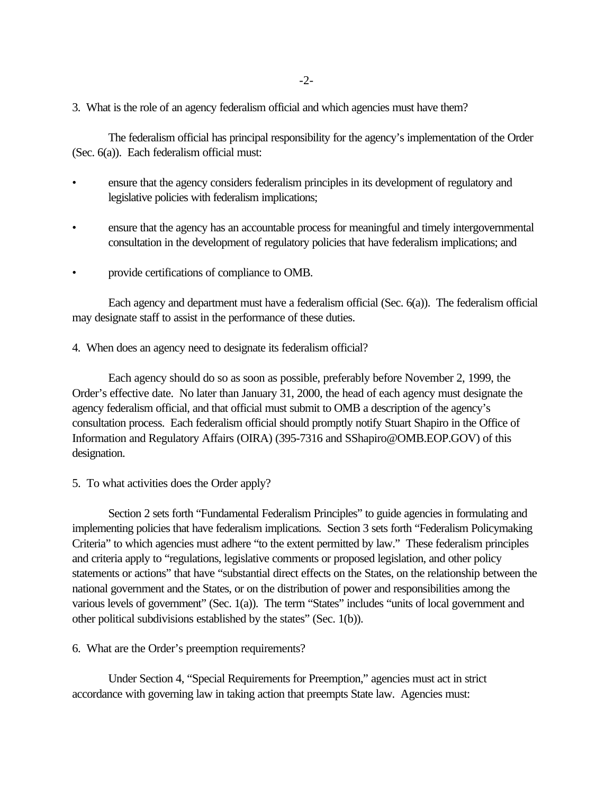3. What is the role of an agency federalism official and which agencies must have them?

The federalism official has principal responsibility for the agency's implementation of the Order (Sec. 6(a)). Each federalism official must:

- ensure that the agency considers federalism principles in its development of regulatory and legislative policies with federalism implications;
- ensure that the agency has an accountable process for meaningful and timely intergovernmental consultation in the development of regulatory policies that have federalism implications; and
- provide certifications of compliance to OMB.

Each agency and department must have a federalism official (Sec. 6(a)). The federalism official may designate staff to assist in the performance of these duties.

4. When does an agency need to designate its federalism official?

Each agency should do so as soon as possible, preferably before November 2, 1999, the Order's effective date. No later than January 31, 2000, the head of each agency must designate the agency federalism official, and that official must submit to OMB a description of the agency's consultation process. Each federalism official should promptly notify Stuart Shapiro in the Office of Information and Regulatory Affairs (OIRA) (395-7316 and SShapiro@OMB.EOP.GOV) of this designation.

5. To what activities does the Order apply?

Section 2 sets forth "Fundamental Federalism Principles" to guide agencies in formulating and implementing policies that have federalism implications. Section 3 sets forth "Federalism Policymaking Criteria" to which agencies must adhere "to the extent permitted by law." These federalism principles and criteria apply to "regulations, legislative comments or proposed legislation, and other policy statements or actions" that have "substantial direct effects on the States, on the relationship between the national government and the States, or on the distribution of power and responsibilities among the various levels of government" (Sec. 1(a)). The term "States" includes "units of local government and other political subdivisions established by the states" (Sec. 1(b)).

6. What are the Order's preemption requirements?

Under Section 4, "Special Requirements for Preemption," agencies must act in strict accordance with governing law in taking action that preempts State law. Agencies must: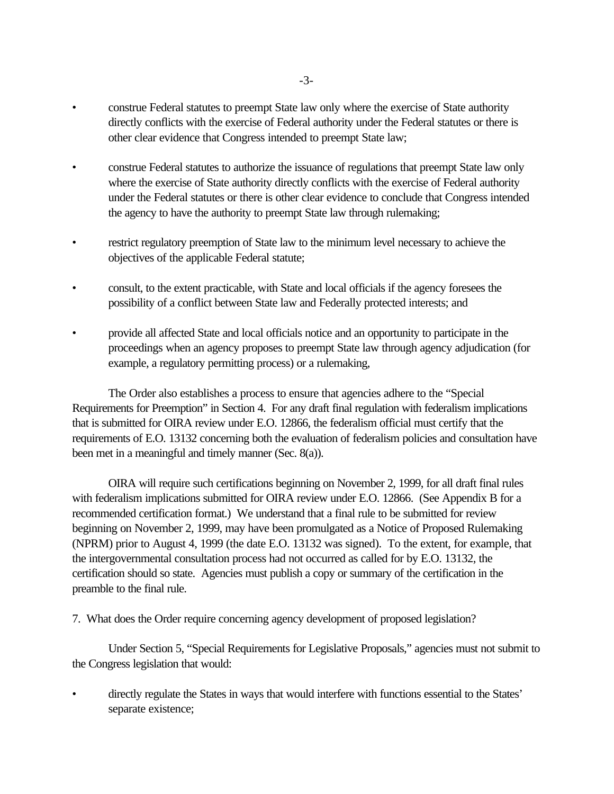- construe Federal statutes to preempt State law only where the exercise of State authority directly conflicts with the exercise of Federal authority under the Federal statutes or there is other clear evidence that Congress intended to preempt State law;
- construe Federal statutes to authorize the issuance of regulations that preempt State law only where the exercise of State authority directly conflicts with the exercise of Federal authority under the Federal statutes or there is other clear evidence to conclude that Congress intended the agency to have the authority to preempt State law through rulemaking;
- restrict regulatory preemption of State law to the minimum level necessary to achieve the objectives of the applicable Federal statute;
- consult, to the extent practicable, with State and local officials if the agency foresees the possibility of a conflict between State law and Federally protected interests; and
- provide all affected State and local officials notice and an opportunity to participate in the proceedings when an agency proposes to preempt State law through agency adjudication (for example, a regulatory permitting process) or a rulemaking,

The Order also establishes a process to ensure that agencies adhere to the "Special Requirements for Preemption" in Section 4. For any draft final regulation with federalism implications that is submitted for OIRA review under E.O. 12866, the federalism official must certify that the requirements of E.O. 13132 concerning both the evaluation of federalism policies and consultation have been met in a meaningful and timely manner (Sec. 8(a)).

OIRA will require such certifications beginning on November 2, 1999, for all draft final rules with federalism implications submitted for OIRA review under E.O. 12866. (See Appendix B for a recommended certification format.) We understand that a final rule to be submitted for review beginning on November 2, 1999, may have been promulgated as a Notice of Proposed Rulemaking (NPRM) prior to August 4, 1999 (the date E.O. 13132 was signed). To the extent, for example, that the intergovernmental consultation process had not occurred as called for by E.O. 13132, the certification should so state. Agencies must publish a copy or summary of the certification in the preamble to the final rule.

7. What does the Order require concerning agency development of proposed legislation?

Under Section 5, "Special Requirements for Legislative Proposals," agencies must not submit to the Congress legislation that would:

directly regulate the States in ways that would interfere with functions essential to the States' separate existence;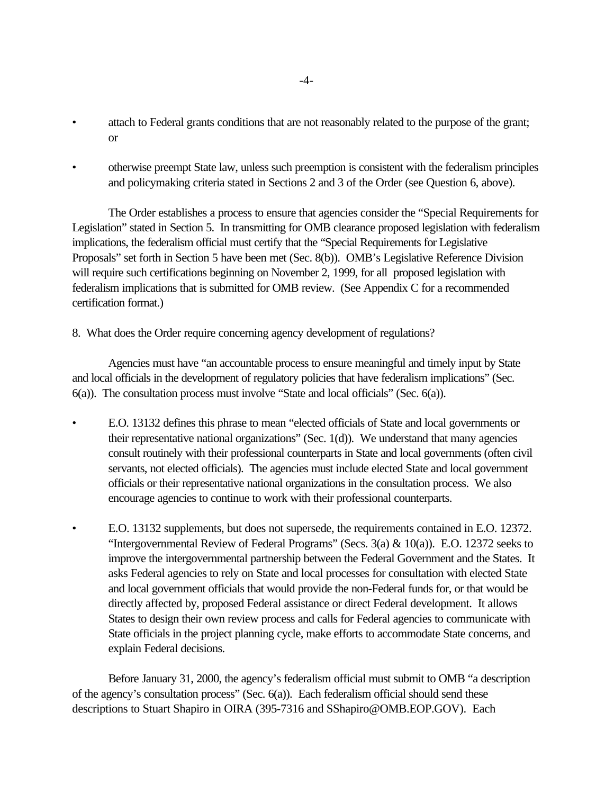- attach to Federal grants conditions that are not reasonably related to the purpose of the grant; or
- otherwise preempt State law, unless such preemption is consistent with the federalism principles and policymaking criteria stated in Sections 2 and 3 of the Order (see Question 6, above).

The Order establishes a process to ensure that agencies consider the "Special Requirements for Legislation" stated in Section 5. In transmitting for OMB clearance proposed legislation with federalism implications, the federalism official must certify that the "Special Requirements for Legislative Proposals" set forth in Section 5 have been met (Sec. 8(b)). OMB's Legislative Reference Division will require such certifications beginning on November 2, 1999, for all proposed legislation with federalism implications that is submitted for OMB review. (See Appendix C for a recommended certification format.)

8. What does the Order require concerning agency development of regulations?

Agencies must have "an accountable process to ensure meaningful and timely input by State and local officials in the development of regulatory policies that have federalism implications" (Sec. 6(a)). The consultation process must involve "State and local officials" (Sec. 6(a)).

- E.O. 13132 defines this phrase to mean "elected officials of State and local governments or their representative national organizations" (Sec. 1(d)). We understand that many agencies consult routinely with their professional counterparts in State and local governments (often civil servants, not elected officials). The agencies must include elected State and local government officials or their representative national organizations in the consultation process. We also encourage agencies to continue to work with their professional counterparts.
- E.O. 13132 supplements, but does not supersede, the requirements contained in E.O. 12372. "Intergovernmental Review of Federal Programs" (Secs. 3(a)  $\&$  10(a)). E.O. 12372 seeks to improve the intergovernmental partnership between the Federal Government and the States. It asks Federal agencies to rely on State and local processes for consultation with elected State and local government officials that would provide the non-Federal funds for, or that would be directly affected by, proposed Federal assistance or direct Federal development. It allows States to design their own review process and calls for Federal agencies to communicate with State officials in the project planning cycle, make efforts to accommodate State concerns, and explain Federal decisions.

Before January 31, 2000, the agency's federalism official must submit to OMB "a description of the agency's consultation process" (Sec. 6(a)). Each federalism official should send these descriptions to Stuart Shapiro in OIRA (395-7316 and SShapiro@OMB.EOP.GOV). Each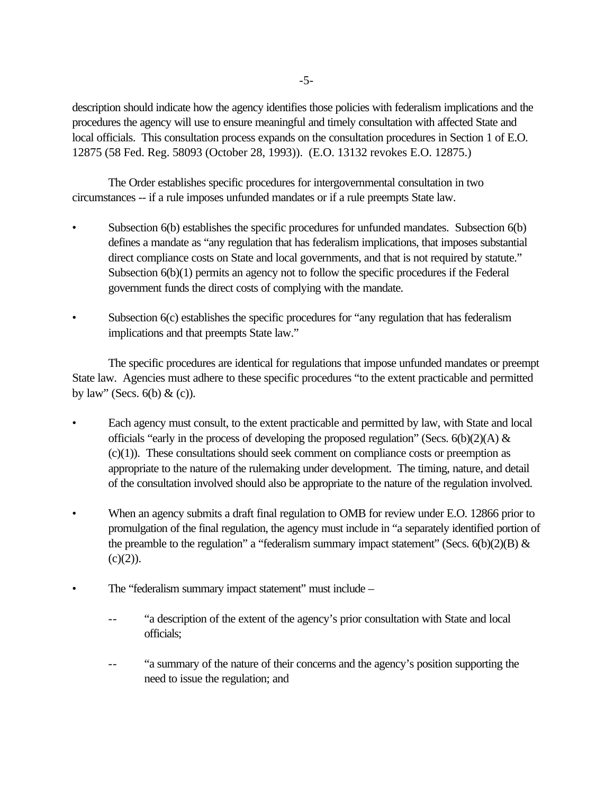description should indicate how the agency identifies those policies with federalism implications and the procedures the agency will use to ensure meaningful and timely consultation with affected State and local officials. This consultation process expands on the consultation procedures in Section 1 of E.O. 12875 (58 Fed. Reg. 58093 (October 28, 1993)). (E.O. 13132 revokes E.O. 12875.)

The Order establishes specific procedures for intergovernmental consultation in two circumstances -- if a rule imposes unfunded mandates or if a rule preempts State law.

- Subsection 6(b) establishes the specific procedures for unfunded mandates. Subsection 6(b) defines a mandate as "any regulation that has federalism implications, that imposes substantial direct compliance costs on State and local governments, and that is not required by statute." Subsection 6(b)(1) permits an agency not to follow the specific procedures if the Federal government funds the direct costs of complying with the mandate.
- Subsection 6(c) establishes the specific procedures for "any regulation that has federalism implications and that preempts State law."

The specific procedures are identical for regulations that impose unfunded mandates or preempt State law. Agencies must adhere to these specific procedures "to the extent practicable and permitted by law" (Secs.  $6(b) \& c$ ).

- Each agency must consult, to the extent practicable and permitted by law, with State and local officials "early in the process of developing the proposed regulation" (Secs. 6(b)(2)(A)  $\&$ (c)(1)). These consultations should seek comment on compliance costs or preemption as appropriate to the nature of the rulemaking under development. The timing, nature, and detail of the consultation involved should also be appropriate to the nature of the regulation involved.
- When an agency submits a draft final regulation to OMB for review under E.O. 12866 prior to promulgation of the final regulation, the agency must include in "a separately identified portion of the preamble to the regulation" a "federalism summary impact statement" (Secs. 6(b)(2)(B)  $\&$  $(c)(2)$ ).
- The "federalism summary impact statement" must include
	- -- "a description of the extent of the agency's prior consultation with State and local officials;
	- -- "a summary of the nature of their concerns and the agency's position supporting the need to issue the regulation; and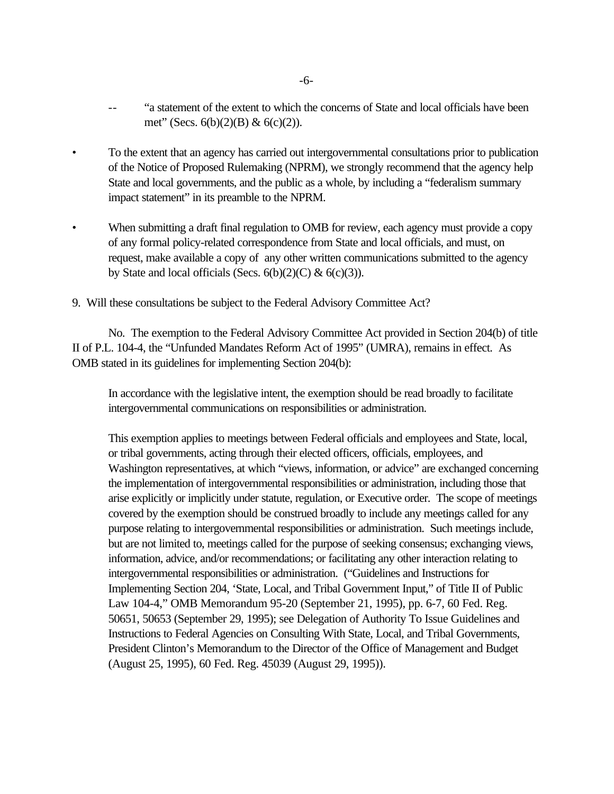- -- "a statement of the extent to which the concerns of State and local officials have been met" (Secs.  $6(b)(2)(B) & 6(c)(2)$ ).
- To the extent that an agency has carried out intergovernmental consultations prior to publication of the Notice of Proposed Rulemaking (NPRM), we strongly recommend that the agency help State and local governments, and the public as a whole, by including a "federalism summary impact statement" in its preamble to the NPRM.
- When submitting a draft final regulation to OMB for review, each agency must provide a copy of any formal policy-related correspondence from State and local officials, and must, on request, make available a copy of any other written communications submitted to the agency by State and local officials (Secs.  $6(b)(2)(C) \& 6(c)(3)$ ).
- 9. Will these consultations be subject to the Federal Advisory Committee Act?

No. The exemption to the Federal Advisory Committee Act provided in Section 204(b) of title II of P.L. 104-4, the "Unfunded Mandates Reform Act of 1995" (UMRA), remains in effect. As OMB stated in its guidelines for implementing Section 204(b):

In accordance with the legislative intent, the exemption should be read broadly to facilitate intergovernmental communications on responsibilities or administration.

This exemption applies to meetings between Federal officials and employees and State, local, or tribal governments, acting through their elected officers, officials, employees, and Washington representatives, at which "views, information, or advice" are exchanged concerning the implementation of intergovernmental responsibilities or administration, including those that arise explicitly or implicitly under statute, regulation, or Executive order. The scope of meetings covered by the exemption should be construed broadly to include any meetings called for any purpose relating to intergovernmental responsibilities or administration. Such meetings include, but are not limited to, meetings called for the purpose of seeking consensus; exchanging views, information, advice, and/or recommendations; or facilitating any other interaction relating to intergovernmental responsibilities or administration. ("Guidelines and Instructions for Implementing Section 204, 'State, Local, and Tribal Government Input," of Title II of Public Law 104-4," OMB Memorandum 95-20 (September 21, 1995), pp. 6-7, 60 Fed. Reg. 50651, 50653 (September 29, 1995); see Delegation of Authority To Issue Guidelines and Instructions to Federal Agencies on Consulting With State, Local, and Tribal Governments, President Clinton's Memorandum to the Director of the Office of Management and Budget (August 25, 1995), 60 Fed. Reg. 45039 (August 29, 1995)).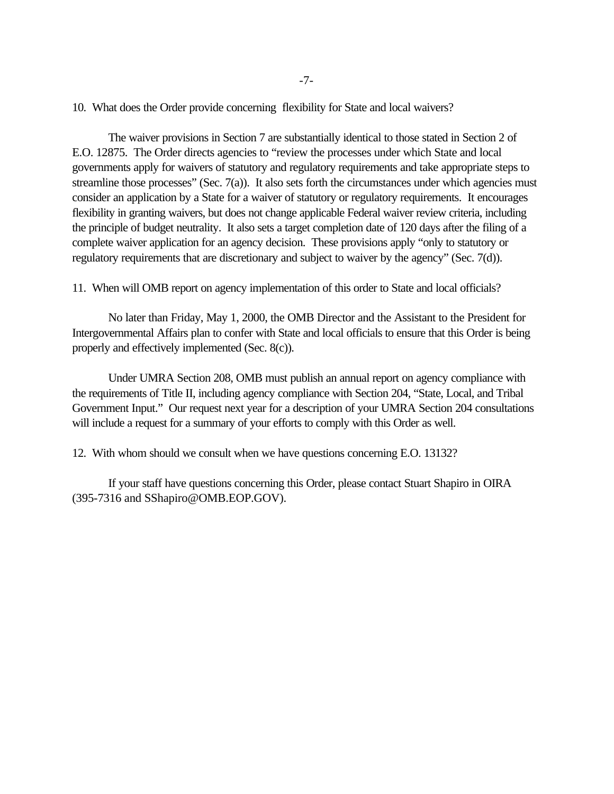10. What does the Order provide concerning flexibility for State and local waivers?

The waiver provisions in Section 7 are substantially identical to those stated in Section 2 of E.O. 12875. The Order directs agencies to "review the processes under which State and local governments apply for waivers of statutory and regulatory requirements and take appropriate steps to streamline those processes" (Sec.  $7(a)$ ). It also sets forth the circumstances under which agencies must consider an application by a State for a waiver of statutory or regulatory requirements. It encourages flexibility in granting waivers, but does not change applicable Federal waiver review criteria, including the principle of budget neutrality. It also sets a target completion date of 120 days after the filing of a complete waiver application for an agency decision. These provisions apply "only to statutory or regulatory requirements that are discretionary and subject to waiver by the agency" (Sec. 7(d)).

11. When will OMB report on agency implementation of this order to State and local officials?

No later than Friday, May 1, 2000, the OMB Director and the Assistant to the President for Intergovernmental Affairs plan to confer with State and local officials to ensure that this Order is being properly and effectively implemented (Sec. 8(c)).

Under UMRA Section 208, OMB must publish an annual report on agency compliance with the requirements of Title II, including agency compliance with Section 204, "State, Local, and Tribal Government Input." Our request next year for a description of your UMRA Section 204 consultations will include a request for a summary of your efforts to comply with this Order as well.

12. With whom should we consult when we have questions concerning E.O. 13132?

If your staff have questions concerning this Order, please contact Stuart Shapiro in OIRA (395-7316 and SShapiro@OMB.EOP.GOV).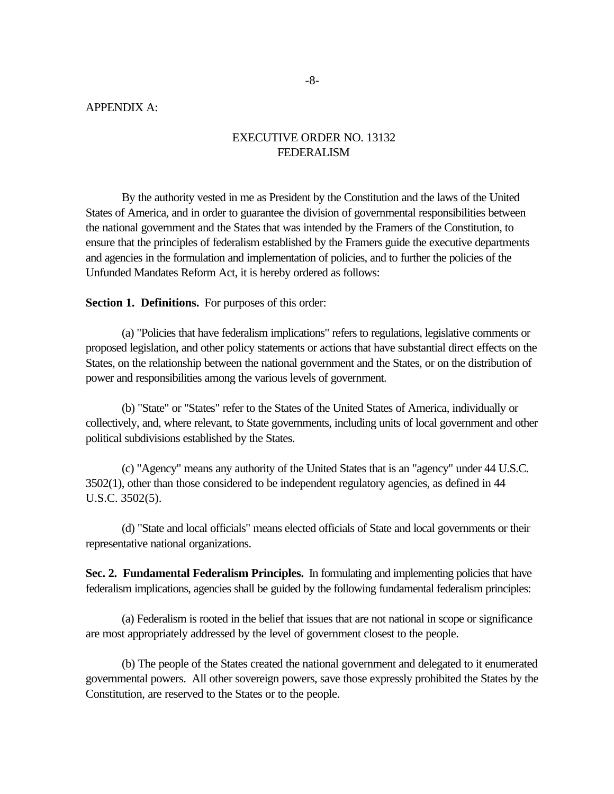APPENDIX A:

## EXECUTIVE ORDER NO. 13132 FEDERALISM

By the authority vested in me as President by the Constitution and the laws of the United States of America, and in order to guarantee the division of governmental responsibilities between the national government and the States that was intended by the Framers of the Constitution, to ensure that the principles of federalism established by the Framers guide the executive departments and agencies in the formulation and implementation of policies, and to further the policies of the Unfunded Mandates Reform Act, it is hereby ordered as follows:

#### **Section 1. Definitions.** For purposes of this order:

(a) "Policies that have federalism implications" refers to regulations, legislative comments or proposed legislation, and other policy statements or actions that have substantial direct effects on the States, on the relationship between the national government and the States, or on the distribution of power and responsibilities among the various levels of government.

(b) "State" or "States" refer to the States of the United States of America, individually or collectively, and, where relevant, to State governments, including units of local government and other political subdivisions established by the States.

(c) "Agency" means any authority of the United States that is an "agency" under 44 U.S.C. 3502(1), other than those considered to be independent regulatory agencies, as defined in 44 U.S.C. 3502(5).

(d) "State and local officials" means elected officials of State and local governments or their representative national organizations.

**Sec. 2. Fundamental Federalism Principles.** In formulating and implementing policies that have federalism implications, agencies shall be guided by the following fundamental federalism principles:

(a) Federalism is rooted in the belief that issues that are not national in scope or significance are most appropriately addressed by the level of government closest to the people.

(b) The people of the States created the national government and delegated to it enumerated governmental powers. All other sovereign powers, save those expressly prohibited the States by the Constitution, are reserved to the States or to the people.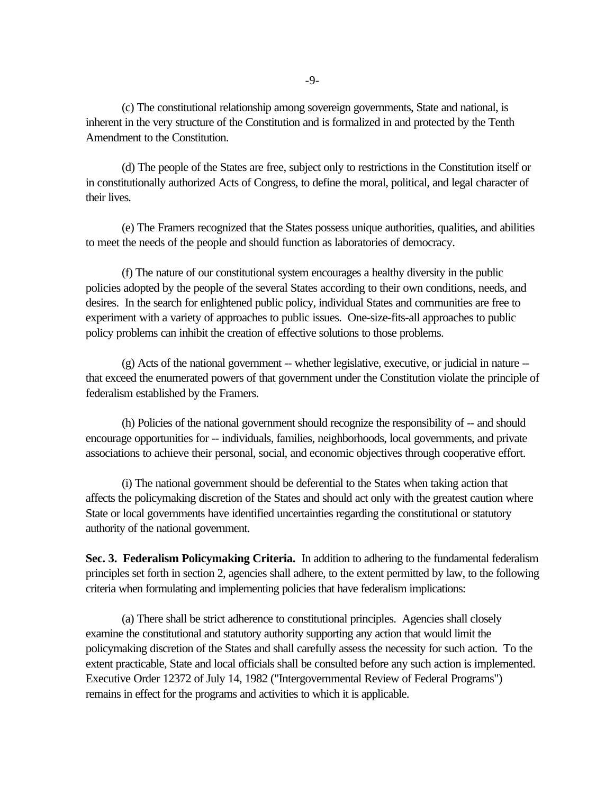(d) The people of the States are free, subject only to restrictions in the Constitution itself or in constitutionally authorized Acts of Congress, to define the moral, political, and legal character of their lives.

(e) The Framers recognized that the States possess unique authorities, qualities, and abilities to meet the needs of the people and should function as laboratories of democracy.

(f) The nature of our constitutional system encourages a healthy diversity in the public policies adopted by the people of the several States according to their own conditions, needs, and desires. In the search for enlightened public policy, individual States and communities are free to experiment with a variety of approaches to public issues. One-size-fits-all approaches to public policy problems can inhibit the creation of effective solutions to those problems.

(g) Acts of the national government -- whether legislative, executive, or judicial in nature that exceed the enumerated powers of that government under the Constitution violate the principle of federalism established by the Framers.

(h) Policies of the national government should recognize the responsibility of -- and should encourage opportunities for -- individuals, families, neighborhoods, local governments, and private associations to achieve their personal, social, and economic objectives through cooperative effort.

(i) The national government should be deferential to the States when taking action that affects the policymaking discretion of the States and should act only with the greatest caution where State or local governments have identified uncertainties regarding the constitutional or statutory authority of the national government.

**Sec. 3. Federalism Policymaking Criteria.** In addition to adhering to the fundamental federalism principles set forth in section 2, agencies shall adhere, to the extent permitted by law, to the following criteria when formulating and implementing policies that have federalism implications:

(a) There shall be strict adherence to constitutional principles. Agencies shall closely examine the constitutional and statutory authority supporting any action that would limit the policymaking discretion of the States and shall carefully assess the necessity for such action. To the extent practicable, State and local officials shall be consulted before any such action is implemented. Executive Order 12372 of July 14, 1982 ("Intergovernmental Review of Federal Programs") remains in effect for the programs and activities to which it is applicable.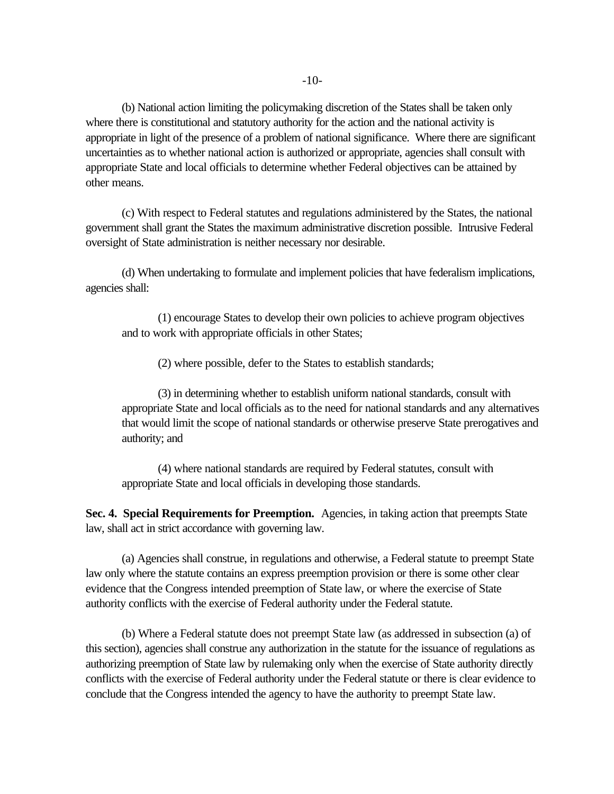(b) National action limiting the policymaking discretion of the States shall be taken only where there is constitutional and statutory authority for the action and the national activity is appropriate in light of the presence of a problem of national significance. Where there are significant uncertainties as to whether national action is authorized or appropriate, agencies shall consult with appropriate State and local officials to determine whether Federal objectives can be attained by other means.

(c) With respect to Federal statutes and regulations administered by the States, the national government shall grant the States the maximum administrative discretion possible. Intrusive Federal oversight of State administration is neither necessary nor desirable.

(d) When undertaking to formulate and implement policies that have federalism implications, agencies shall:

(1) encourage States to develop their own policies to achieve program objectives and to work with appropriate officials in other States;

(2) where possible, defer to the States to establish standards;

(3) in determining whether to establish uniform national standards, consult with appropriate State and local officials as to the need for national standards and any alternatives that would limit the scope of national standards or otherwise preserve State prerogatives and authority; and

(4) where national standards are required by Federal statutes, consult with appropriate State and local officials in developing those standards.

**Sec. 4. Special Requirements for Preemption.** Agencies, in taking action that preempts State law, shall act in strict accordance with governing law.

(a) Agencies shall construe, in regulations and otherwise, a Federal statute to preempt State law only where the statute contains an express preemption provision or there is some other clear evidence that the Congress intended preemption of State law, or where the exercise of State authority conflicts with the exercise of Federal authority under the Federal statute.

(b) Where a Federal statute does not preempt State law (as addressed in subsection (a) of this section), agencies shall construe any authorization in the statute for the issuance of regulations as authorizing preemption of State law by rulemaking only when the exercise of State authority directly conflicts with the exercise of Federal authority under the Federal statute or there is clear evidence to conclude that the Congress intended the agency to have the authority to preempt State law.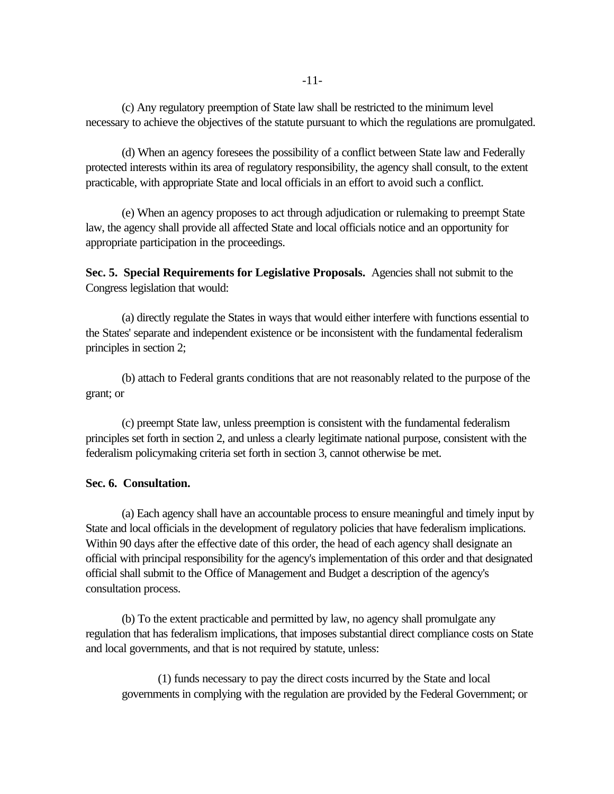(c) Any regulatory preemption of State law shall be restricted to the minimum level necessary to achieve the objectives of the statute pursuant to which the regulations are promulgated.

(d) When an agency foresees the possibility of a conflict between State law and Federally protected interests within its area of regulatory responsibility, the agency shall consult, to the extent practicable, with appropriate State and local officials in an effort to avoid such a conflict.

(e) When an agency proposes to act through adjudication or rulemaking to preempt State law, the agency shall provide all affected State and local officials notice and an opportunity for appropriate participation in the proceedings.

**Sec. 5. Special Requirements for Legislative Proposals.** Agencies shall not submit to the Congress legislation that would:

(a) directly regulate the States in ways that would either interfere with functions essential to the States' separate and independent existence or be inconsistent with the fundamental federalism principles in section 2;

(b) attach to Federal grants conditions that are not reasonably related to the purpose of the grant; or

(c) preempt State law, unless preemption is consistent with the fundamental federalism principles set forth in section 2, and unless a clearly legitimate national purpose, consistent with the federalism policymaking criteria set forth in section 3, cannot otherwise be met.

#### **Sec. 6. Consultation.**

(a) Each agency shall have an accountable process to ensure meaningful and timely input by State and local officials in the development of regulatory policies that have federalism implications. Within 90 days after the effective date of this order, the head of each agency shall designate an official with principal responsibility for the agency's implementation of this order and that designated official shall submit to the Office of Management and Budget a description of the agency's consultation process.

(b) To the extent practicable and permitted by law, no agency shall promulgate any regulation that has federalism implications, that imposes substantial direct compliance costs on State and local governments, and that is not required by statute, unless:

(1) funds necessary to pay the direct costs incurred by the State and local governments in complying with the regulation are provided by the Federal Government; or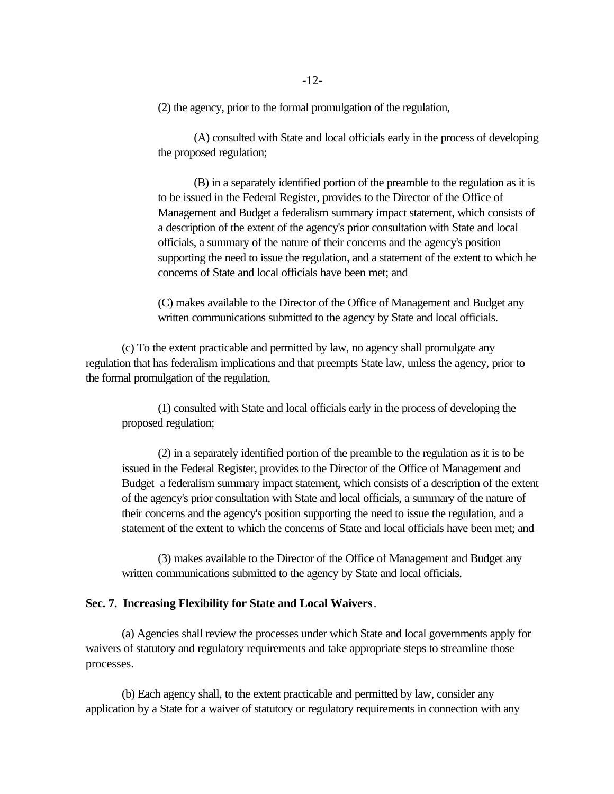(2) the agency, prior to the formal promulgation of the regulation,

(A) consulted with State and local officials early in the process of developing the proposed regulation;

(B) in a separately identified portion of the preamble to the regulation as it is to be issued in the Federal Register, provides to the Director of the Office of Management and Budget a federalism summary impact statement, which consists of a description of the extent of the agency's prior consultation with State and local officials, a summary of the nature of their concerns and the agency's position supporting the need to issue the regulation, and a statement of the extent to which he concerns of State and local officials have been met; and

(C) makes available to the Director of the Office of Management and Budget any written communications submitted to the agency by State and local officials.

(c) To the extent practicable and permitted by law, no agency shall promulgate any regulation that has federalism implications and that preempts State law, unless the agency, prior to the formal promulgation of the regulation,

(1) consulted with State and local officials early in the process of developing the proposed regulation;

(2) in a separately identified portion of the preamble to the regulation as it is to be issued in the Federal Register, provides to the Director of the Office of Management and Budget a federalism summary impact statement, which consists of a description of the extent of the agency's prior consultation with State and local officials, a summary of the nature of their concerns and the agency's position supporting the need to issue the regulation, and a statement of the extent to which the concerns of State and local officials have been met; and

(3) makes available to the Director of the Office of Management and Budget any written communications submitted to the agency by State and local officials.

#### **Sec. 7. Increasing Flexibility for State and Local Waivers** .

(a) Agencies shall review the processes under which State and local governments apply for waivers of statutory and regulatory requirements and take appropriate steps to streamline those processes.

(b) Each agency shall, to the extent practicable and permitted by law, consider any application by a State for a waiver of statutory or regulatory requirements in connection with any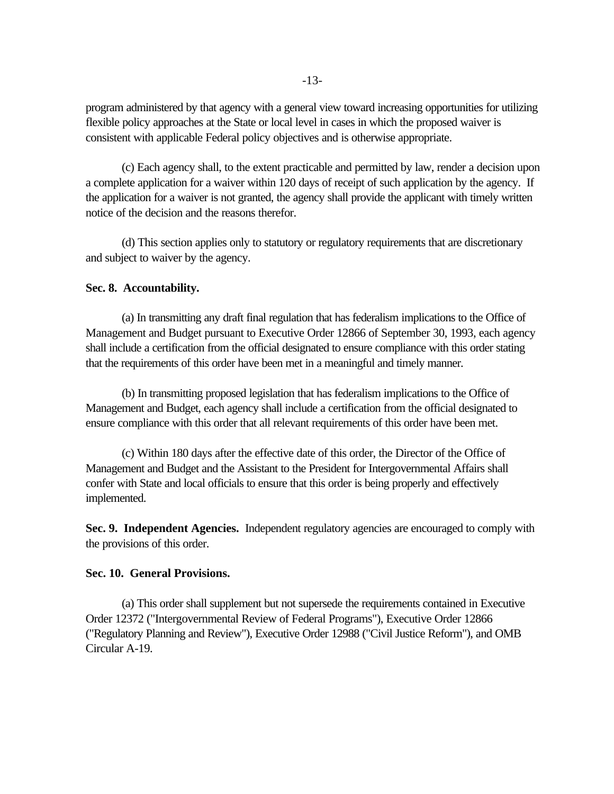program administered by that agency with a general view toward increasing opportunities for utilizing flexible policy approaches at the State or local level in cases in which the proposed waiver is consistent with applicable Federal policy objectives and is otherwise appropriate.

(c) Each agency shall, to the extent practicable and permitted by law, render a decision upon a complete application for a waiver within 120 days of receipt of such application by the agency. If the application for a waiver is not granted, the agency shall provide the applicant with timely written notice of the decision and the reasons therefor.

(d) This section applies only to statutory or regulatory requirements that are discretionary and subject to waiver by the agency.

#### **Sec. 8. Accountability.**

(a) In transmitting any draft final regulation that has federalism implications to the Office of Management and Budget pursuant to Executive Order 12866 of September 30, 1993, each agency shall include a certification from the official designated to ensure compliance with this order stating that the requirements of this order have been met in a meaningful and timely manner.

(b) In transmitting proposed legislation that has federalism implications to the Office of Management and Budget, each agency shall include a certification from the official designated to ensure compliance with this order that all relevant requirements of this order have been met.

(c) Within 180 days after the effective date of this order, the Director of the Office of Management and Budget and the Assistant to the President for Intergovernmental Affairs shall confer with State and local officials to ensure that this order is being properly and effectively implemented.

Sec. 9. Independent Agencies. Independent regulatory agencies are encouraged to comply with the provisions of this order.

### **Sec. 10. General Provisions.**

(a) This order shall supplement but not supersede the requirements contained in Executive Order 12372 ("Intergovernmental Review of Federal Programs"), Executive Order 12866 ("Regulatory Planning and Review"), Executive Order 12988 ("Civil Justice Reform"), and OMB Circular A-19.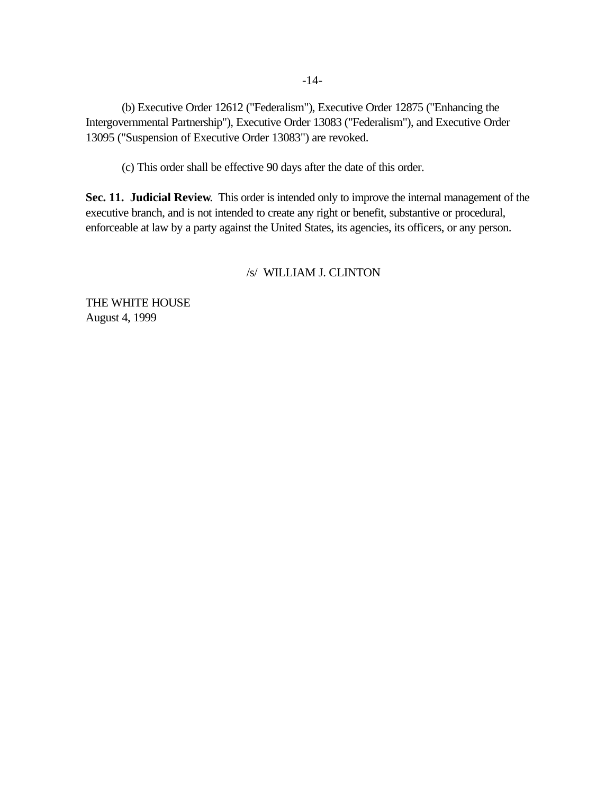(b) Executive Order 12612 ("Federalism"), Executive Order 12875 ("Enhancing the Intergovernmental Partnership"), Executive Order 13083 ("Federalism"), and Executive Order 13095 ("Suspension of Executive Order 13083") are revoked.

(c) This order shall be effective 90 days after the date of this order.

**Sec. 11. Judicial Review**. This order is intended only to improve the internal management of the executive branch, and is not intended to create any right or benefit, substantive or procedural, enforceable at law by a party against the United States, its agencies, its officers, or any person.

## /s/ WILLIAM J. CLINTON

THE WHITE HOUSE August 4, 1999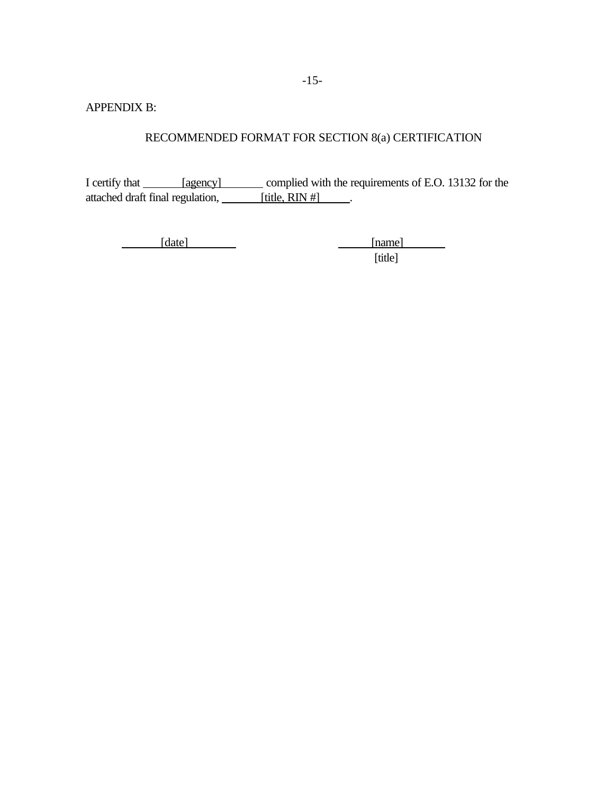APPENDIX B:

# RECOMMENDED FORMAT FOR SECTION 8(a) CERTIFICATION

I certify that <u>[agency]</u> complied with the requirements of E.O. 13132 for the attached draft final regulation, *[title, RIN #]* ...

[date] [cancel] [mame] [title]